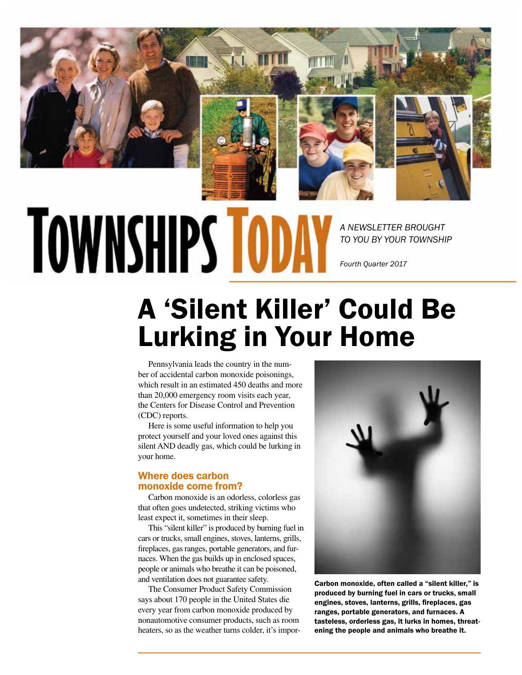

# **TOWNSHIPS TOD**

*A NEWSLETTER BROUGHT TO YOU BY YOUR TOWNSHIP*

*Fourth Quarter 2017*

## A 'Silent Killer' Could Be Lurking in Your Home

Pennsylvania leads the country in the number of accidental carbon monoxide poisonings, which result in an estimated 450 deaths and more than 20,000 emergency room visits each year, the Centers for Disease Control and Prevention (CDC) reports.

Here is some useful information to help you protect yourself and your loved ones against this silent AND deadly gas, which could be lurking in your home.

#### Where does carbon monoxide come from?

Carbon monoxide is an odorless, colorless gas that often goes undetected, striking victims who least expect it, sometimes in their sleep.

This "silent killer" is produced by burning fuel in cars or trucks, small engines, stoves, lanterns, grills, fireplaces, gas ranges, portable generators, and furnaces. When the gas builds up in enclosed spaces, people or animals who breathe it can be poisoned, and ventilation does not guarantee safety.

The Consumer Product Safety Commission says about 170 people in the United States die every year from carbon monoxide produced by nonautomotive consumer products, such as room heaters, so as the weather turns colder, it's impor-



Carbon monoxide, often called a "silent killer," is produced by burning fuel in cars or trucks, small engines, stoves, lanterns, grills, fireplaces, gas ranges, portable generators, and furnaces. A tasteless, orderless gas, it lurks in homes, threatening the people and animals who breathe it.